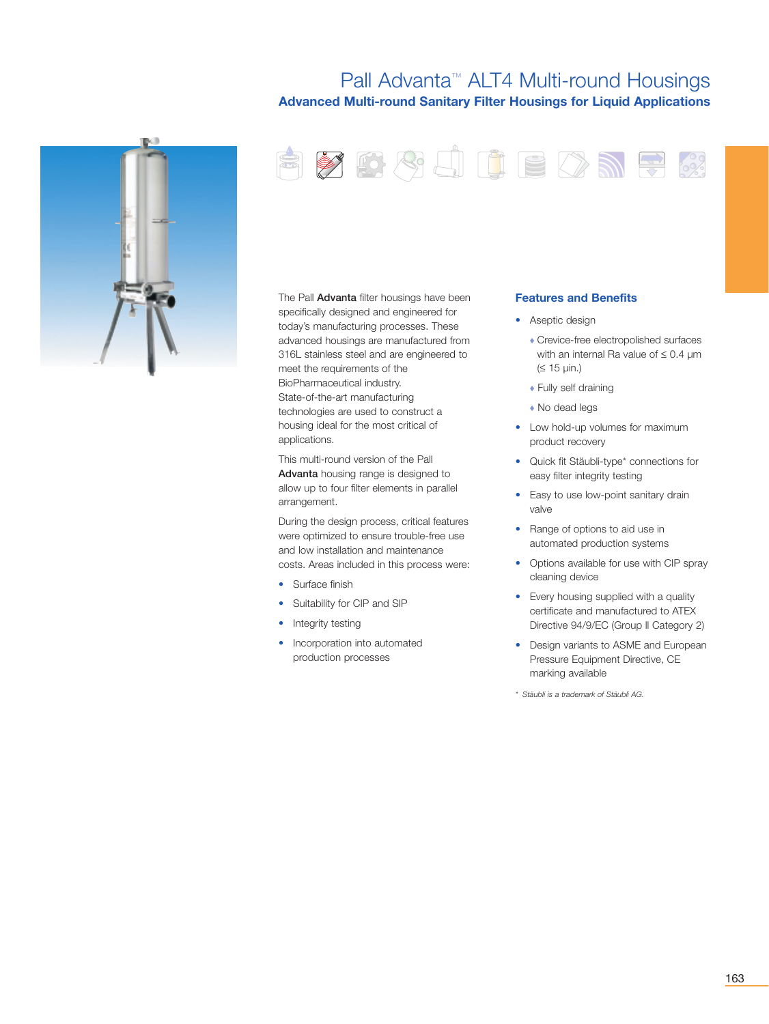### Pall Advanta™ ALT4 Multi-round Housings **Advanced Multi-round Sanitary Filter Housings for Liquid Applications**

FYBSJUEDNE



The Pall **Advanta** filter housings have been specifically designed and engineered for today's manufacturing processes. These advanced housings are manufactured from 316L stainless steel and are engineered to meet the requirements of the BioPharmaceutical industry. State-of-the-art manufacturing technologies are used to construct a housing ideal for the most critical of applications.

This multi-round version of the Pall Advanta housing range is designed to allow up to four filter elements in parallel arrangement.

During the design process, critical features were optimized to ensure trouble-free use and low installation and maintenance costs. Areas included in this process were:

- Surface finish
- Suitability for CIP and SIP
- Integrity testing
- Incorporation into automated production processes

#### **Features and Benefits**

- Aseptic design
	- ◆ Crevice-free electropolished surfaces with an internal Ra value of ≤ 0.4 µm  $(S 15 \mu in.)$

2002

- ◆ Fully self draining
- ◆ No dead legs
- Low hold-up volumes for maximum product recovery
- Quick fit Stäubli-type\* connections for easy filter integrity testing
- Easy to use low-point sanitary drain valve
- Range of options to aid use in automated production systems
- Options available for use with CIP spray cleaning device
- Every housing supplied with a quality certificate and manufactured to ATEX Directive 94/9/EC (Group ll Category 2)
- Design variants to ASME and European Pressure Equipment Directive, CE marking available
- *\* Stäubli is a trademark of Stäubli AG.*